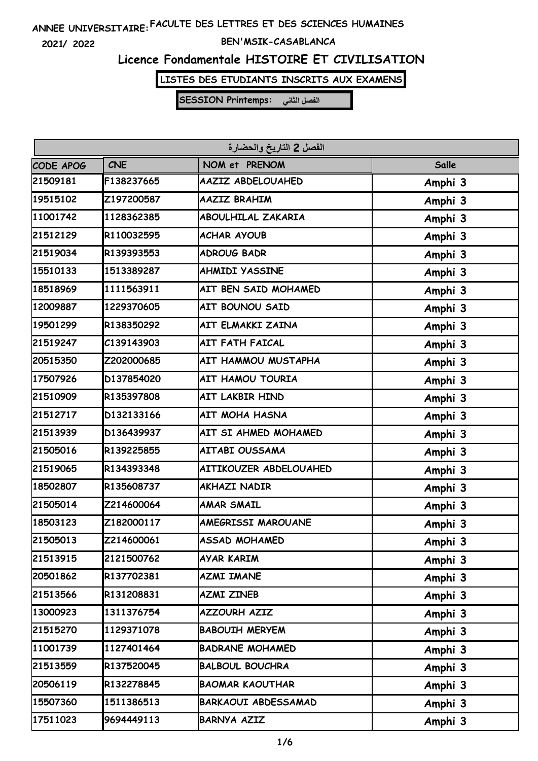**2021/ 2022**

#### **BEN'MSIK-CASABLANCA**

### **Licence Fondamentale HISTOIRE ET CIVILISATION**

**LISTES DES ETUDIANTS INSCRITS AUX EXAMENS**

| الفصل 2 التاريخ والحضارة |            |                            |         |  |
|--------------------------|------------|----------------------------|---------|--|
| CODE APOG                | <b>CNE</b> | NOM et PRENOM              | Salle   |  |
| 21509181                 | F138237665 | AAZIZ ABDELOUAHED          | Amphi 3 |  |
| 19515102                 | Z197200587 | <b>AAZIZ BRAHIM</b>        | Amphi 3 |  |
| 11001742                 | 1128362385 | <b>ABOULHILAL ZAKARIA</b>  | Amphi 3 |  |
| 21512129                 | R110032595 | <b>ACHAR AYOUB</b>         | Amphi 3 |  |
| 21519034                 | R139393553 | <b>ADROUG BADR</b>         | Amphi 3 |  |
| 15510133                 | 1513389287 | <b>AHMIDI YASSINE</b>      | Amphi 3 |  |
| 18518969                 | 1111563911 | AIT BEN SAID MOHAMED       | Amphi 3 |  |
| 12009887                 | 1229370605 | AIT BOUNOU SAID            | Amphi 3 |  |
| 19501299                 | R138350292 | AIT ELMAKKI ZAINA          | Amphi 3 |  |
| 21519247                 | C139143903 | <b>AIT FATH FAICAL</b>     | Amphi 3 |  |
| 20515350                 | Z202000685 | AIT HAMMOU MUSTAPHA        | Amphi 3 |  |
| 17507926                 | D137854020 | <b>AIT HAMOU TOURIA</b>    | Amphi 3 |  |
| 21510909                 | R135397808 | AIT LAKBIR HIND            | Amphi 3 |  |
| 21512717                 | D132133166 | AIT MOHA HASNA             | Amphi 3 |  |
| 21513939                 | D136439937 | AIT SI AHMED MOHAMED       | Amphi 3 |  |
| 21505016                 | R139225855 | AITABI OUSSAMA             | Amphi 3 |  |
| 21519065                 | R134393348 | AITIKOUZER ABDELOUAHED     | Amphi 3 |  |
| 18502807                 | R135608737 | <b>AKHAZI NADIR</b>        | Amphi 3 |  |
| 21505014                 | Z214600064 | <b>AMAR SMAIL</b>          | Amphi 3 |  |
| 18503123                 | Z182000117 | AMEGRISSI MAROUANE         | Amphi 3 |  |
| 21505013                 | Z214600061 | <b>ASSAD MOHAMED</b>       | Amphi 3 |  |
| 21513915                 | 2121500762 | AYAR KARIM                 | Amphi 3 |  |
| 20501862                 | R137702381 | <b>AZMI IMANE</b>          | Amphi 3 |  |
| 21513566                 | R131208831 | AZMI ZINEB                 | Amphi 3 |  |
| 13000923                 | 1311376754 | <b>AZZOURH AZIZ</b>        | Amphi 3 |  |
| 21515270                 | 1129371078 | <b>BABOUIH MERYEM</b>      | Amphi 3 |  |
| 11001739                 | 1127401464 | <b>BADRANE MOHAMED</b>     | Amphi 3 |  |
| 21513559                 | R137520045 | <b>BALBOUL BOUCHRA</b>     | Amphi 3 |  |
| 20506119                 | R132278845 | <b>BAOMAR KAOUTHAR</b>     | Amphi 3 |  |
| 15507360                 | 1511386513 | <b>BARKAOUI ABDESSAMAD</b> | Amphi 3 |  |
| 17511023                 | 9694449113 | <b>BARNYA AZIZ</b>         | Amphi 3 |  |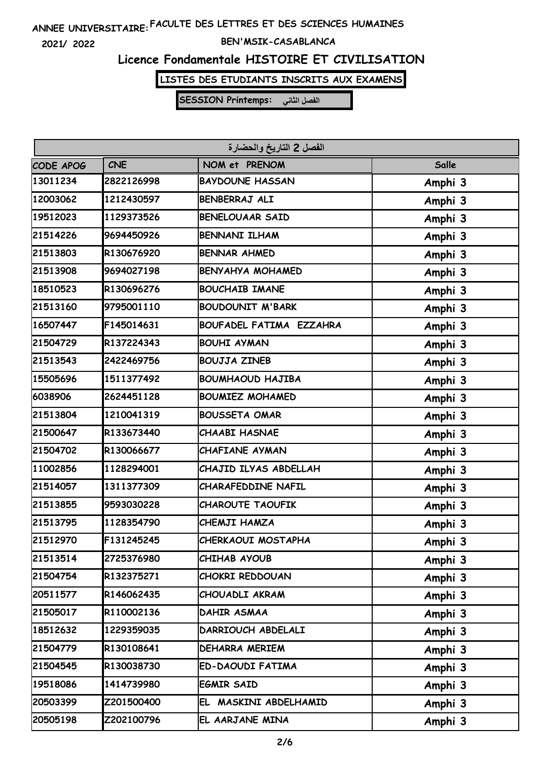**2021/ 2022**

#### **BEN'MSIK-CASABLANCA**

### **Licence Fondamentale HISTOIRE ET CIVILISATION**

**LISTES DES ETUDIANTS INSCRITS AUX EXAMENS**

| الفصل 2 التاريخ والحضارة |            |                         |         |  |
|--------------------------|------------|-------------------------|---------|--|
| CODE APOG                | <b>CNE</b> | NOM et PRENOM           | Salle   |  |
| 13011234                 | 2822126998 | <b>BAYDOUNE HASSAN</b>  | Amphi 3 |  |
| 12003062                 | 1212430597 | BENBERRAJ ALI           | Amphi 3 |  |
| 19512023                 | 1129373526 | <b>BENELOUAAR SAID</b>  | Amphi 3 |  |
| 21514226                 | 9694450926 | <b>BENNANI ILHAM</b>    | Amphi 3 |  |
| 21513803                 | R130676920 | <b>BENNAR AHMED</b>     | Amphi 3 |  |
| 21513908                 | 9694027198 | <b>BENYAHYA MOHAMED</b> | Amphi 3 |  |
| 18510523                 | R130696276 | <b>BOUCHAIB IMANE</b>   | Amphi 3 |  |
| 21513160                 | 9795001110 | <b>BOUDOUNIT M'BARK</b> | Amphi 3 |  |
| 16507447                 | F145014631 | BOUFADEL FATIMA EZZAHRA | Amphi 3 |  |
| 21504729                 | R137224343 | <b>BOUHI AYMAN</b>      | Amphi 3 |  |
| 21513543                 | 2422469756 | <b>BOUJJA ZINEB</b>     | Amphi 3 |  |
| 15505696                 | 1511377492 | <b>BOUMHAOUD HAJIBA</b> | Amphi 3 |  |
| 6038906                  | 2624451128 | <b>BOUMIEZ MOHAMED</b>  | Amphi 3 |  |
| 21513804                 | 1210041319 | <b>BOUSSETA OMAR</b>    | Amphi 3 |  |
| 21500647                 | R133673440 | <b>CHAABI HASNAE</b>    | Amphi 3 |  |
| 21504702                 | R130066677 | CHAFIANE AYMAN          | Amphi 3 |  |
| 11002856                 | 1128294001 | CHAJID ILYAS ABDELLAH   | Amphi 3 |  |
| 21514057                 | 1311377309 | CHARAFEDDINE NAFIL      | Amphi 3 |  |
| 21513855                 | 9593030228 | <b>CHAROUTE TAOUFIK</b> | Amphi 3 |  |
| 21513795                 | 1128354790 | CHEMJI HAMZA            | Amphi 3 |  |
| 21512970                 | F131245245 | CHERKAOUI MOSTAPHA      | Amphi 3 |  |
| 21513514                 | 2725376980 | CHIHAB AYOUB            | Amphi 3 |  |
| 21504754                 | R132375271 | <b>CHOKRI REDDOUAN</b>  | Amphi 3 |  |
| 20511577                 | R146062435 | CHOUADLI AKRAM          | Amphi 3 |  |
| 21505017                 | R110002136 | DAHIR ASMAA             | Amphi 3 |  |
| 18512632                 | 1229359035 | DARRIOUCH ABDELALI      | Amphi 3 |  |
| 21504779                 | R130108641 | DEHARRA MERIEM          | Amphi 3 |  |
| 21504545                 | R130038730 | ED-DAOUDI FATIMA        | Amphi 3 |  |
| 19518086                 | 1414739980 | <b>EGMIR SAID</b>       | Amphi 3 |  |
| 20503399                 | Z201500400 | EL MASKINI ABDELHAMID   | Amphi 3 |  |
| 20505198                 | Z202100796 | EL AARJANE MINA         | Amphi 3 |  |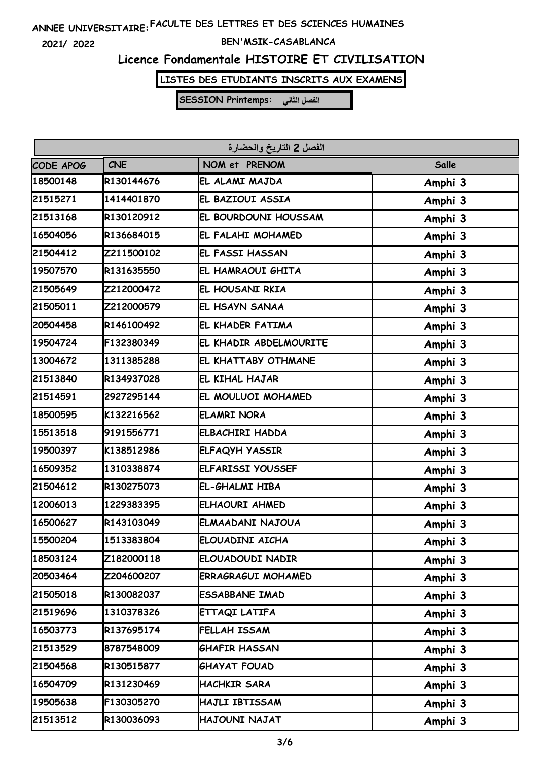**2021/ 2022**

#### **BEN'MSIK-CASABLANCA**

### **Licence Fondamentale HISTOIRE ET CIVILISATION**

**LISTES DES ETUDIANTS INSCRITS AUX EXAMENS**

| الفصل 2 التاريخ والحضارة |            |                           |         |  |
|--------------------------|------------|---------------------------|---------|--|
| CODE APOG                | <b>CNE</b> | NOM et PRENOM             | Salle   |  |
| 18500148                 | R130144676 | EL ALAMI MAJDA            | Amphi 3 |  |
| 21515271                 | 1414401870 | EL BAZIOUI ASSIA          | Amphi 3 |  |
| 21513168                 | R130120912 | EL BOURDOUNI HOUSSAM      | Amphi 3 |  |
| 16504056                 | R136684015 | EL FALAHI MOHAMED         | Amphi 3 |  |
| 21504412                 | Z211500102 | EL FASSI HASSAN           | Amphi 3 |  |
| 19507570                 | R131635550 | EL HAMRAOUI GHITA         | Amphi 3 |  |
| 21505649                 | Z212000472 | EL HOUSANI RKIA           | Amphi 3 |  |
| 21505011                 | Z212000579 | EL HSAYN SANAA            | Amphi 3 |  |
| 20504458                 | R146100492 | EL KHADER FATIMA          | Amphi 3 |  |
| 19504724                 | F132380349 | EL KHADIR ABDELMOURITE    | Amphi 3 |  |
| 13004672                 | 1311385288 | EL KHATTABY OTHMANE       | Amphi 3 |  |
| 21513840                 | R134937028 | EL KIHAL HAJAR            | Amphi 3 |  |
| 21514591                 | 2927295144 | EL MOULUOI MOHAMED        | Amphi 3 |  |
| 18500595                 | K132216562 | <b>ELAMRI NORA</b>        | Amphi 3 |  |
| 15513518                 | 9191556771 | <b>ELBACHIRI HADDA</b>    | Amphi 3 |  |
| 19500397                 | K138512986 | ELFAQYH YASSIR            | Amphi 3 |  |
| 16509352                 | 1310338874 | <b>ELFARISSI YOUSSEF</b>  | Amphi 3 |  |
| 21504612                 | R130275073 | EL-GHALMI HIBA            | Amphi 3 |  |
| 12006013                 | 1229383395 | ELHAOURI AHMED            | Amphi 3 |  |
| 16500627                 | R143103049 | ELMAADANI NAJOUA          | Amphi 3 |  |
| 15500204                 | 1513383804 | ELOUADINI AICHA           | Amphi 3 |  |
| 18503124                 | Z182000118 | ELOUADOUDI NADIR          | Amphi 3 |  |
| 20503464                 | Z204600207 | <b>ERRAGRAGUI MOHAMED</b> | Amphi 3 |  |
| 21505018                 | R130082037 | ESSABBANE IMAD            | Amphi 3 |  |
| 21519696                 | 1310378326 | ETTAQI LATIFA             | Amphi 3 |  |
| 16503773                 | R137695174 | FELLAH ISSAM              | Amphi 3 |  |
| 21513529                 | 8787548009 | <b>GHAFIR HASSAN</b>      | Amphi 3 |  |
| 21504568                 | R130515877 | <b>GHAYAT FOUAD</b>       | Amphi 3 |  |
| 16504709                 | R131230469 | <b>HACHKIR SARA</b>       | Amphi 3 |  |
| 19505638                 | F130305270 | HAJLI IBTISSAM            | Amphi 3 |  |
| 21513512                 | R130036093 | HAJOUNI NAJAT             | Amphi 3 |  |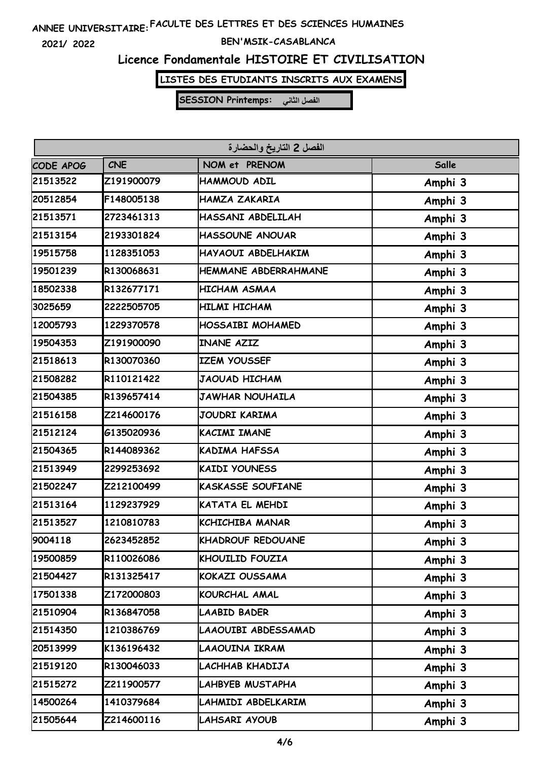**2021/ 2022**

#### **BEN'MSIK-CASABLANCA**

# **Licence Fondamentale HISTOIRE ET CIVILISATION**

**LISTES DES ETUDIANTS INSCRITS AUX EXAMENS**

| الفصل 2 التاريخ والحضارة |            |                             |         |  |
|--------------------------|------------|-----------------------------|---------|--|
| CODE APOG                | <b>CNE</b> | NOM et PRENOM               | Salle   |  |
| 21513522                 | Z191900079 | HAMMOUD ADIL                | Amphi 3 |  |
| 20512854                 | F148005138 | HAMZA ZAKARIA               | Amphi 3 |  |
| 21513571                 | 2723461313 | HASSANI ABDELILAH           | Amphi 3 |  |
| 21513154                 | 2193301824 | <b>HASSOUNE ANOUAR</b>      | Amphi 3 |  |
| 19515758                 | 1128351053 | HAYAOUI ABDELHAKIM          | Amphi 3 |  |
| 19501239                 | R130068631 | <b>HEMMANE ABDERRAHMANE</b> | Amphi 3 |  |
| 18502338                 | R132677171 | <b>HICHAM ASMAA</b>         | Amphi 3 |  |
| 3025659                  | 2222505705 | HILMI HICHAM                | Amphi 3 |  |
| 12005793                 | 1229370578 | HOSSAIBI MOHAMED            | Amphi 3 |  |
| 19504353                 | Z191900090 | <b>INANE AZIZ</b>           | Amphi 3 |  |
| 21518613                 | R130070360 | <b>IZEM YOUSSEF</b>         | Amphi 3 |  |
| 21508282                 | R110121422 | <b>JAOUAD HICHAM</b>        | Amphi 3 |  |
| 21504385                 | R139657414 | <b>JAWHAR NOUHAILA</b>      | Amphi 3 |  |
| 21516158                 | Z214600176 | JOUDRI KARIMA               | Amphi 3 |  |
| 21512124                 | G135020936 | <b>KACIMI IMANE</b>         | Amphi 3 |  |
| 21504365                 | R144089362 | KADIMA HAFSSA               | Amphi 3 |  |
| 21513949                 | 2299253692 | <b>KAIDI YOUNESS</b>        | Amphi 3 |  |
| 21502247                 | Z212100499 | <b>KASKASSE SOUFIANE</b>    | Amphi 3 |  |
| 21513164                 | 1129237929 | KATATA EL MEHDI             | Amphi 3 |  |
| 21513527                 | 1210810783 | <b>KCHICHIBA MANAR</b>      | Amphi 3 |  |
| 9004118                  | 2623452852 | <b>KHADROUF REDOUANE</b>    | Amphi 3 |  |
| 19500859                 | R110026086 | KHOUILID FOUZIA             | Amphi 3 |  |
| 21504427                 | R131325417 | <b>KOKAZI OUSSAMA</b>       | Amphi 3 |  |
| 17501338                 | Z172000803 | KOURCHAL AMAL               | Amphi 3 |  |
| 21510904                 | R136847058 | <b>LAABID BADER</b>         | Amphi 3 |  |
| 21514350                 | 1210386769 | LAAOUIBI ABDESSAMAD         | Amphi 3 |  |
| 20513999                 | K136196432 | LAAOUINA IKRAM              | Amphi 3 |  |
| 21519120                 | R130046033 | LACHHAB KHADIJA             | Amphi 3 |  |
| 21515272                 | Z211900577 | LAHBYEB MUSTAPHA            | Amphi 3 |  |
| 14500264                 | 1410379684 | LAHMIDI ABDELKARIM          | Amphi 3 |  |
| 21505644                 | Z214600116 | LAHSARI AYOUB               | Amphi 3 |  |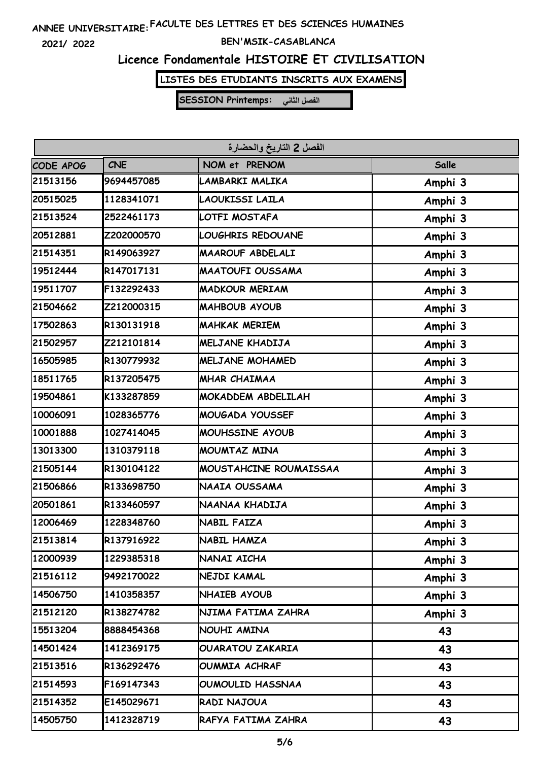**2021/ 2022**

#### **BEN'MSIK-CASABLANCA**

### **Licence Fondamentale HISTOIRE ET CIVILISATION**

**LISTES DES ETUDIANTS INSCRITS AUX EXAMENS**

| الفصل 2 التاريخ والحضارة |            |                         |         |  |
|--------------------------|------------|-------------------------|---------|--|
| CODE APOG                | <b>CNE</b> | NOM et PRENOM           | Salle   |  |
| 21513156                 | 9694457085 | LAMBARKI MALIKA         | Amphi 3 |  |
| 20515025                 | 1128341071 | LAOUKISSI LAILA         | Amphi 3 |  |
| 21513524                 | 2522461173 | LOTFI MOSTAFA           | Amphi 3 |  |
| 20512881                 | Z202000570 | LOUGHRIS REDOUANE       | Amphi 3 |  |
| 21514351                 | R149063927 | MAAROUF ABDELALI        | Amphi 3 |  |
| 19512444                 | R147017131 | <b>MAATOUFI OUSSAMA</b> | Amphi 3 |  |
| 19511707                 | F132292433 | <b>MADKOUR MERIAM</b>   | Amphi 3 |  |
| 21504662                 | Z212000315 | <b>MAHBOUB AYOUB</b>    | Amphi 3 |  |
| 17502863                 | R130131918 | <b>MAHKAK MERIEM</b>    | Amphi 3 |  |
| 21502957                 | Z212101814 | MELJANE KHADIJA         | Amphi 3 |  |
| 16505985                 | R130779932 | MELJANE MOHAMED         | Amphi 3 |  |
| 18511765                 | R137205475 | <b>MHAR CHAIMAA</b>     | Amphi 3 |  |
| 19504861                 | K133287859 | MOKADDEM ABDELILAH      | Amphi 3 |  |
| 10006091                 | 1028365776 | MOUGADA YOUSSEF         | Amphi 3 |  |
| 10001888                 | 1027414045 | MOUHSSINE AYOUB         | Amphi 3 |  |
| 13013300                 | 1310379118 | MOUMTAZ MINA            | Amphi 3 |  |
| 21505144                 | R130104122 | MOUSTAHCINE ROUMAISSAA  | Amphi 3 |  |
| 21506866                 | R133698750 | NAAIA OUSSAMA           | Amphi 3 |  |
| 20501861                 | R133460597 | NAANAA KHADIJA          | Amphi 3 |  |
| 12006469                 | 1228348760 | NABIL FAIZA             | Amphi 3 |  |
| 21513814                 | R137916922 | <b>NABIL HAMZA</b>      | Amphi 3 |  |
| 12000939                 | 1229385318 | NANAI AICHA             | Amphi 3 |  |
| 21516112                 | 9492170022 | NEJDI KAMAL             | Amphi 3 |  |
| 14506750                 | 1410358357 | NHAIEB AYOUB            | Amphi 3 |  |
| 21512120                 | R138274782 | NJIMA FATIMA ZAHRA      | Amphi 3 |  |
| 15513204                 | 8888454368 | NOUHI AMINA             | 43      |  |
| 14501424                 | 1412369175 | OUARATOU ZAKARIA        | 43      |  |
| 21513516                 | R136292476 | OUMMIA ACHRAF           | 43      |  |
| 21514593                 | F169147343 | OUMOULID HASSNAA        | 43      |  |
| 21514352                 | E145029671 | RADI NAJOUA             | 43      |  |
| 14505750                 | 1412328719 | RAFYA FATIMA ZAHRA      | 43      |  |